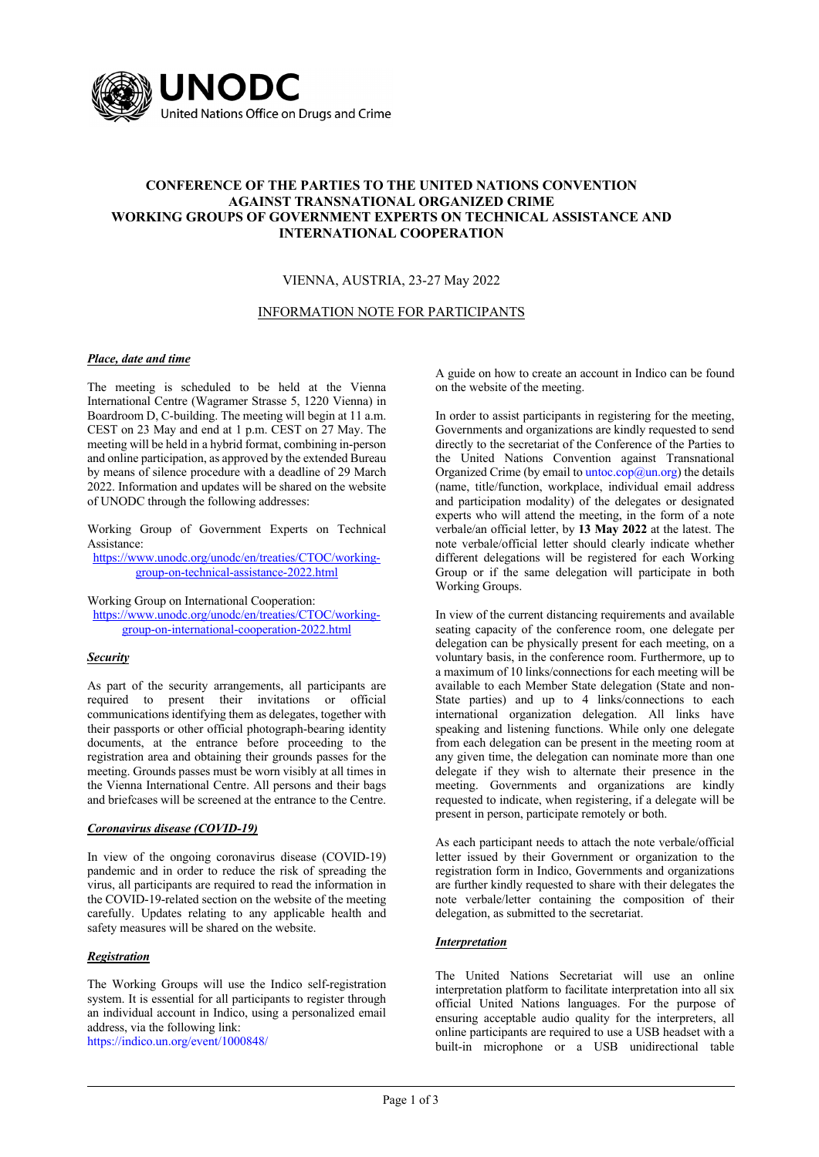

# **CONFERENCE OF THE PARTIES TO THE UNITED NATIONS CONVENTION AGAINST TRANSNATIONAL ORGANIZED CRIME WORKING GROUPS OF GOVERNMENT EXPERTS ON TECHNICAL ASSISTANCE AND INTERNATIONAL COOPERATION**

## VIENNA, AUSTRIA, 23-27 May 2022

### INFORMATION NOTE FOR PARTICIPANTS

### *Place, date and time*

The meeting is scheduled to be held at the Vienna International Centre (Wagramer Strasse 5, 1220 Vienna) in Boardroom D, C-building. The meeting will begin at 11 a.m. CEST on 23 May and end at 1 p.m. CEST on 27 May. The meeting will be held in a hybrid format, combining in-person and online participation, as approved by the extended Bureau by means of silence procedure with a deadline of 29 March 2022. Information and updates will be shared on the website of UNODC through the following addresses:

Working Group of Government Experts on Technical Assistance:

https://www.unodc.org/unodc/en/treaties/CTOC/workinggroup-on-technical-assistance-2022.html

Working Group on International Cooperation:

https://www.unodc.org/unodc/en/treaties/CTOC/workinggroup-on-international-cooperation-2022.html

### *Security*

As part of the security arrangements, all participants are required to present their invitations or official communications identifying them as delegates, together with their passports or other official photograph-bearing identity documents, at the entrance before proceeding to the registration area and obtaining their grounds passes for the meeting. Grounds passes must be worn visibly at all times in the Vienna International Centre. All persons and their bags and briefcases will be screened at the entrance to the Centre.

### *Coronavirus disease (COVID-19)*

In view of the ongoing coronavirus disease (COVID-19) pandemic and in order to reduce the risk of spreading the virus, all participants are required to read the information in the COVID-19-related section on the website of the meeting carefully. Updates relating to any applicable health and safety measures will be shared on the website.

### *Registration*

The Working Groups will use the Indico self-registration system. It is essential for all participants to register through an individual account in Indico, using a personalized email address, via the following link:

https://indico.un.org/event/1000848/

A guide on how to create an account in Indico can be found on the website of the meeting.

In order to assist participants in registering for the meeting, Governments and organizations are kindly requested to send directly to the secretariat of the Conference of the Parties to the United Nations Convention against Transnational Organized Crime (by email to untoc.cop@un.org) the details (name, title/function, workplace, individual email address and participation modality) of the delegates or designated experts who will attend the meeting, in the form of a note verbale/an official letter, by **13 May 2022** at the latest. The note verbale/official letter should clearly indicate whether different delegations will be registered for each Working Group or if the same delegation will participate in both Working Groups.

In view of the current distancing requirements and available seating capacity of the conference room, one delegate per delegation can be physically present for each meeting, on a voluntary basis, in the conference room. Furthermore, up to a maximum of 10 links/connections for each meeting will be available to each Member State delegation (State and non-State parties) and up to 4 links/connections to each international organization delegation. All links have speaking and listening functions. While only one delegate from each delegation can be present in the meeting room at any given time, the delegation can nominate more than one delegate if they wish to alternate their presence in the meeting. Governments and organizations are kindly requested to indicate, when registering, if a delegate will be present in person, participate remotely or both.

As each participant needs to attach the note verbale/official letter issued by their Government or organization to the registration form in Indico, Governments and organizations are further kindly requested to share with their delegates the note verbale/letter containing the composition of their delegation, as submitted to the secretariat.

## *Interpretation*

The United Nations Secretariat will use an online interpretation platform to facilitate interpretation into all six official United Nations languages. For the purpose of ensuring acceptable audio quality for the interpreters, all online participants are required to use a USB headset with a built-in microphone or a USB unidirectional table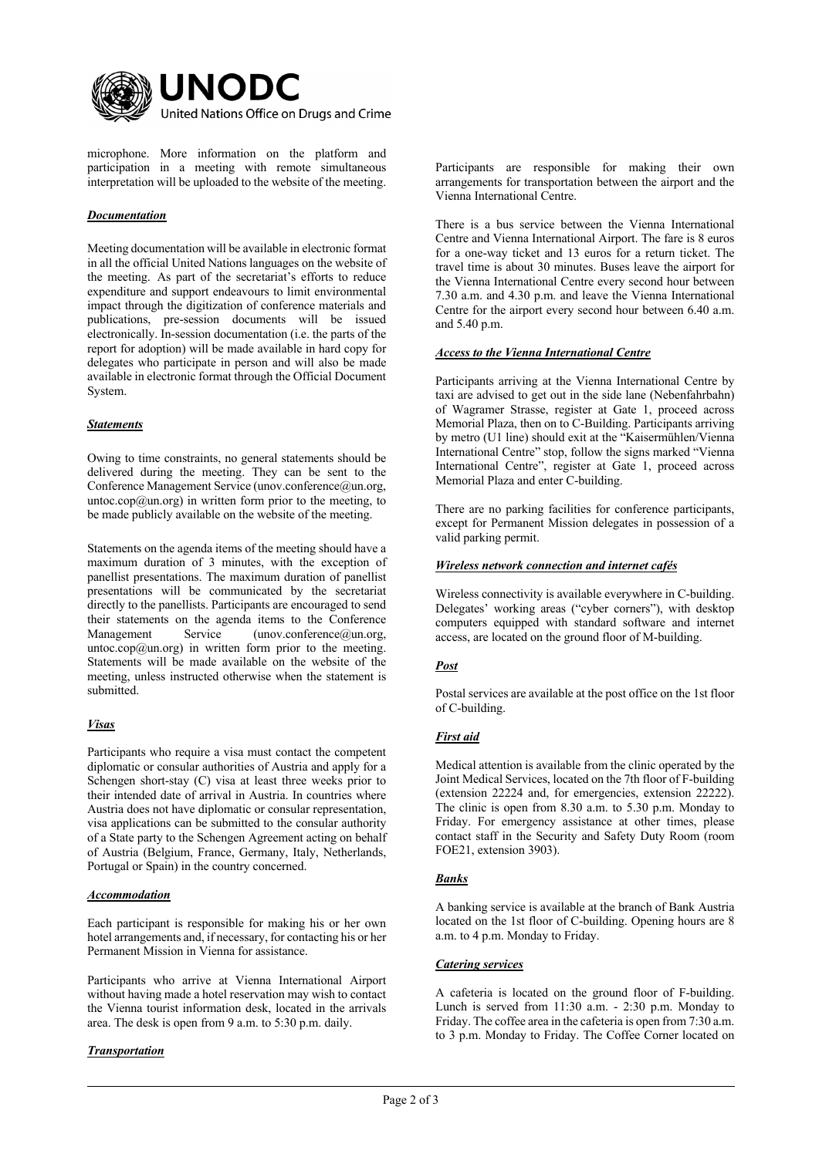

microphone. More information on the platform and participation in a meeting with remote simultaneous interpretation will be uploaded to the website of the meeting.

# *Documentation*

Meeting documentation will be available in electronic format in all the official United Nations languages on the website of the meeting. As part of the secretariat's efforts to reduce expenditure and support endeavours to limit environmental impact through the digitization of conference materials and publications, pre-session documents will be issued electronically. In-session documentation (i.e. the parts of the report for adoption) will be made available in hard copy for delegates who participate in person and will also be made available in electronic format through the Official Document System.

# *Statements*

Owing to time constraints, no general statements should be delivered during the meeting. They can be sent to the Conference Management Service (unov.conference@un.org, untoc.cop $@$ un.org) in written form prior to the meeting, to be made publicly available on the website of the meeting.

Statements on the agenda items of the meeting should have a maximum duration of 3 minutes, with the exception of panellist presentations. The maximum duration of panellist presentations will be communicated by the secretariat directly to the panellists. Participants are encouraged to send their statements on the agenda items to the Conference Management Service (unov.conference@un.org, untoc.cop $(a)$ un.org) in written form prior to the meeting. Statements will be made available on the website of the meeting, unless instructed otherwise when the statement is submitted.

# *Visas*

Participants who require a visa must contact the competent diplomatic or consular authorities of Austria and apply for a Schengen short-stay (C) visa at least three weeks prior to their intended date of arrival in Austria. In countries where Austria does not have diplomatic or consular representation, visa applications can be submitted to the consular authority of a State party to the Schengen Agreement acting on behalf of Austria (Belgium, France, Germany, Italy, Netherlands, Portugal or Spain) in the country concerned.

## *Accommodation*

Each participant is responsible for making his or her own hotel arrangements and, if necessary, for contacting his or her Permanent Mission in Vienna for assistance.

Participants who arrive at Vienna International Airport without having made a hotel reservation may wish to contact the Vienna tourist information desk, located in the arrivals area. The desk is open from 9 a.m. to 5:30 p.m. daily.

## *Transportation*

Participants are responsible for making their own arrangements for transportation between the airport and the Vienna International Centre.

There is a bus service between the Vienna International Centre and Vienna International Airport. The fare is 8 euros for a one-way ticket and 13 euros for a return ticket. The travel time is about 30 minutes. Buses leave the airport for the Vienna International Centre every second hour between 7.30 a.m. and 4.30 p.m. and leave the Vienna International Centre for the airport every second hour between 6.40 a.m. and 5.40 p.m.

## *Access to the Vienna International Centre*

Participants arriving at the Vienna International Centre by taxi are advised to get out in the side lane (Nebenfahrbahn) of Wagramer Strasse, register at Gate 1, proceed across Memorial Plaza, then on to C-Building. Participants arriving by metro (U1 line) should exit at the "Kaisermühlen/Vienna International Centre" stop, follow the signs marked "Vienna International Centre", register at Gate 1, proceed across Memorial Plaza and enter C-building.

There are no parking facilities for conference participants, except for Permanent Mission delegates in possession of a valid parking permit.

### *Wireless network connection and internet cafés*

Wireless connectivity is available everywhere in C-building. Delegates' working areas ("cyber corners"), with desktop computers equipped with standard software and internet access, are located on the ground floor of M-building.

# *Post*

Postal services are available at the post office on the 1st floor of C-building.

# *First aid*

Medical attention is available from the clinic operated by the Joint Medical Services, located on the 7th floor of F-building (extension 22224 and, for emergencies, extension 22222). The clinic is open from 8.30 a.m. to 5.30 p.m. Monday to Friday. For emergency assistance at other times, please contact staff in the Security and Safety Duty Room (room FOE21, extension 3903).

## *Banks*

A banking service is available at the branch of Bank Austria located on the 1st floor of C-building. Opening hours are 8 a.m. to 4 p.m. Monday to Friday.

## *Catering services*

A cafeteria is located on the ground floor of F-building. Lunch is served from 11:30 a.m. - 2:30 p.m. Monday to Friday. The coffee area in the cafeteria is open from 7:30 a.m. to 3 p.m. Monday to Friday. The Coffee Corner located on